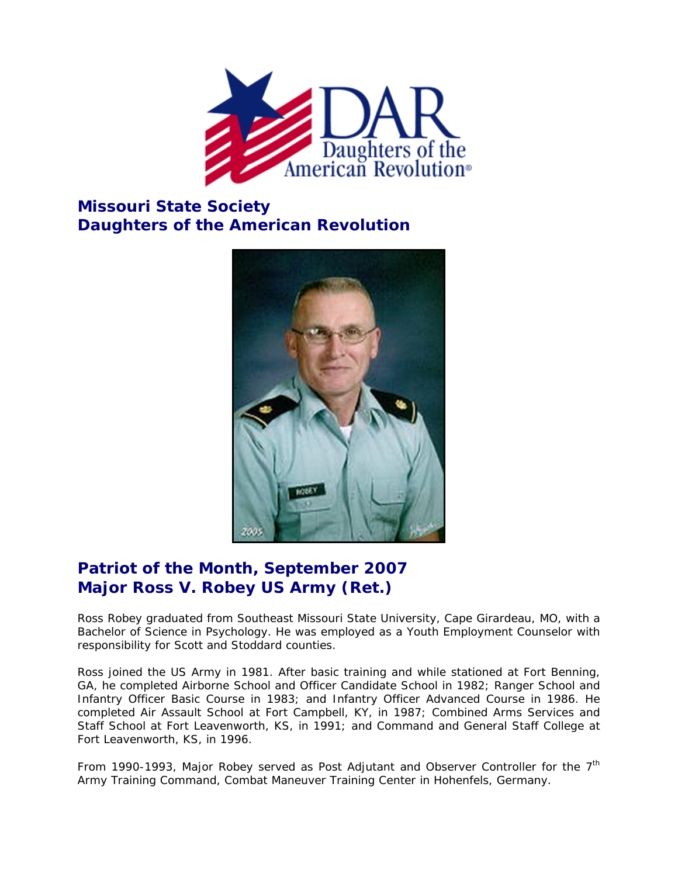

## **Missouri State Society Daughters of the American Revolution**



## **Patriot of the Month, September 2007 Major Ross V. Robey US Army (Ret.)**

Ross Robey graduated from Southeast Missouri State University, Cape Girardeau, MO, with a Bachelor of Science in Psychology. He was employed as a Youth Employment Counselor with responsibility for Scott and Stoddard counties.

Ross joined the US Army in 1981. After basic training and while stationed at Fort Benning, GA, he completed Airborne School and Officer Candidate School in 1982; Ranger School and Infantry Officer Basic Course in 1983; and Infantry Officer Advanced Course in 1986. He completed Air Assault School at Fort Campbell, KY, in 1987; Combined Arms Services and Staff School at Fort Leavenworth, KS, in 1991; and Command and General Staff College at Fort Leavenworth, KS, in 1996.

From 1990-1993, Major Robey served as Post Adjutant and Observer Controller for the  $7<sup>th</sup>$ Army Training Command, Combat Maneuver Training Center in Hohenfels, Germany.